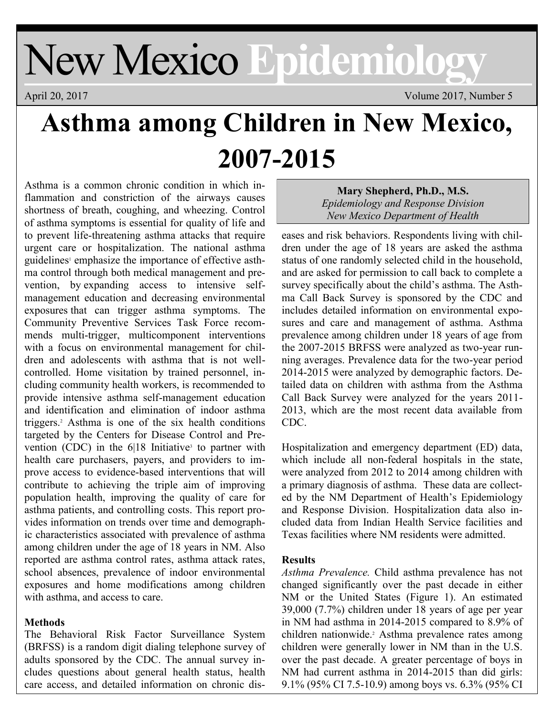# New Mexico **Epidemiology**

April 20, 2017 Volume 2017, Number 5

## **Asthma among Children in New Mexico, 2007-2015**

Asthma is a common chronic condition in which inflammation and constriction of the airways causes shortness of breath, coughing, and wheezing. Control of asthma symptoms is essential for quality of life and to prevent life-threatening asthma attacks that require urgent care or hospitalization. The national asthma guidelines<sup>1</sup> emphasize the importance of effective asthma control through both medical management and prevention, by expanding access to intensive selfmanagement education and decreasing environmental exposures that can trigger asthma symptoms. The Community Preventive Services Task Force recommends multi-trigger, multicomponent interventions with a focus on environmental management for children and adolescents with asthma that is not wellcontrolled. Home visitation by trained personnel, including community health workers, is recommended to provide intensive asthma self-management education and identification and elimination of indoor asthma triggers.<sup>2</sup> Asthma is one of the six health conditions targeted by the Centers for Disease Control and Prevention (CDC) in the  $6|18$  Initiative<sup>3</sup> to partner with health care purchasers, payers, and providers to improve access to evidence-based interventions that will contribute to achieving the triple aim of improving population health, improving the quality of care for asthma patients, and controlling costs. This report provides information on trends over time and demographic characteristics associated with prevalence of asthma among children under the age of 18 years in NM. Also reported are asthma control rates, asthma attack rates, school absences, prevalence of indoor environmental exposures and home modifications among children with asthma, and access to care.

### **Methods**

The Behavioral Risk Factor Surveillance System (BRFSS) is a random digit dialing telephone survey of adults sponsored by the CDC. The annual survey includes questions about general health status, health care access, and detailed information on chronic dis-

**Mary Shepherd, Ph.D., M.S.** *Epidemiology and Response Division New Mexico Department of Health*

eases and risk behaviors. Respondents living with children under the age of 18 years are asked the asthma status of one randomly selected child in the household, and are asked for permission to call back to complete a survey specifically about the child's asthma. The Asthma Call Back Survey is sponsored by the CDC and includes detailed information on environmental exposures and care and management of asthma. Asthma prevalence among children under 18 years of age from the 2007-2015 BRFSS were analyzed as two-year running averages. Prevalence data for the two-year period 2014-2015 were analyzed by demographic factors. Detailed data on children with asthma from the Asthma Call Back Survey were analyzed for the years 2011- 2013, which are the most recent data available from CDC.

Hospitalization and emergency department (ED) data, which include all non-federal hospitals in the state, were analyzed from 2012 to 2014 among children with a primary diagnosis of asthma. These data are collected by the NM Department of Health's Epidemiology and Response Division. Hospitalization data also included data from Indian Health Service facilities and Texas facilities where NM residents were admitted.

#### **Results**

*Asthma Prevalence.* Child asthma prevalence has not changed significantly over the past decade in either NM or the United States (Figure 1). An estimated 39,000 (7.7%) children under 18 years of age per year in NM had asthma in 2014-2015 compared to 8.9% of children nationwide.<sup>2</sup> Asthma prevalence rates among children were generally lower in NM than in the U.S. over the past decade. A greater percentage of boys in NM had current asthma in 2014-2015 than did girls: 9.1% (95% CI 7.5-10.9) among boys vs. 6.3% (95% CI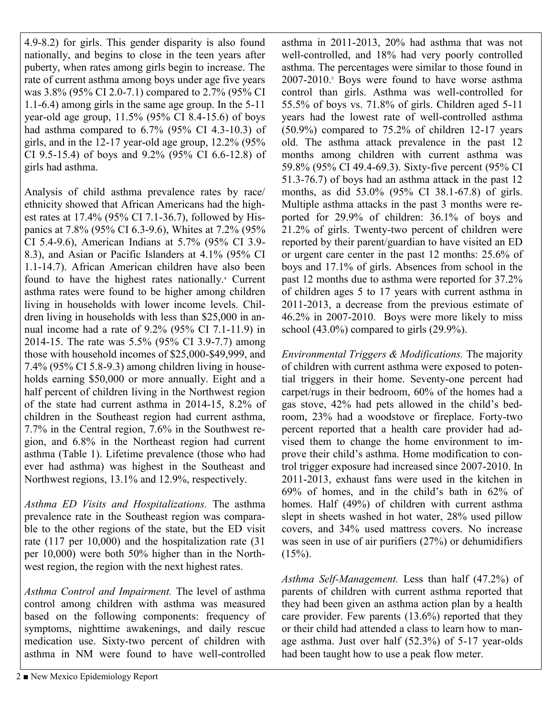4.9-8.2) for girls. This gender disparity is also found nationally, and begins to close in the teen years after puberty, when rates among girls begin to increase. The rate of current asthma among boys under age five years was 3.8% (95% CI 2.0-7.1) compared to 2.7% (95% CI 1.1-6.4) among girls in the same age group. In the 5-11 year-old age group, 11.5% (95% CI 8.4-15.6) of boys had asthma compared to  $6.7\%$  (95% CI 4.3-10.3) of girls, and in the 12-17 year-old age group, 12.2% (95% CI 9.5-15.4) of boys and 9.2% (95% CI 6.6-12.8) of girls had asthma.

Analysis of child asthma prevalence rates by race/ ethnicity showed that African Americans had the highest rates at 17.4% (95% CI 7.1-36.7), followed by Hispanics at 7.8% (95% CI 6.3-9.6), Whites at 7.2% (95% CI 5.4-9.6), American Indians at 5.7% (95% CI 3.9- 8.3), and Asian or Pacific Islanders at 4.1% (95% CI 1.1-14.7). African American children have also been found to have the highest rates nationally.<sup>4</sup> Current asthma rates were found to be higher among children living in households with lower income levels. Children living in households with less than \$25,000 in annual income had a rate of 9.2% (95% CI 7.1-11.9) in 2014-15. The rate was 5.5% (95% CI 3.9-7.7) among those with household incomes of \$25,000-\$49,999, and 7.4% (95% CI 5.8-9.3) among children living in households earning \$50,000 or more annually. Eight and a half percent of children living in the Northwest region of the state had current asthma in 2014-15, 8.2% of children in the Southeast region had current asthma, 7.7% in the Central region, 7.6% in the Southwest region, and 6.8% in the Northeast region had current asthma (Table 1). Lifetime prevalence (those who had ever had asthma) was highest in the Southeast and Northwest regions, 13.1% and 12.9%, respectively.

*Asthma ED Visits and Hospitalizations.* The asthma prevalence rate in the Southeast region was comparable to the other regions of the state, but the ED visit rate (117 per 10,000) and the hospitalization rate (31 per 10,000) were both 50% higher than in the Northwest region, the region with the next highest rates.

*Asthma Control and Impairment.* The level of asthma control among children with asthma was measured based on the following components: frequency of symptoms, nighttime awakenings, and daily rescue medication use. Sixty-two percent of children with asthma in NM were found to have well-controlled

asthma in 2011-2013, 20% had asthma that was not well-controlled, and 18% had very poorly controlled asthma. The percentages were similar to those found in  $2007-2010$ .<sup>5</sup> Boys were found to have worse asthma control than girls. Asthma was well-controlled for 55.5% of boys vs. 71.8% of girls. Children aged 5-11 years had the lowest rate of well-controlled asthma  $(50.9\%)$  compared to  $75.2\%$  of children 12-17 years old. The asthma attack prevalence in the past 12 months among children with current asthma was 59.8% (95% CI 49.4-69.3). Sixty-five percent (95% CI 51.3-76.7) of boys had an asthma attack in the past 12 months, as did 53.0% (95% CI 38.1-67.8) of girls. Multiple asthma attacks in the past 3 months were reported for 29.9% of children: 36.1% of boys and 21.2% of girls. Twenty-two percent of children were reported by their parent/guardian to have visited an ED or urgent care center in the past 12 months: 25.6% of boys and 17.1% of girls. Absences from school in the past 12 months due to asthma were reported for 37.2% of children ages 5 to 17 years with current asthma in 2011-2013, a decrease from the previous estimate of 46.2% in 2007-2010. Boys were more likely to miss school (43.0%) compared to girls (29.9%).

*Environmental Triggers & Modifications.* The majority of children with current asthma were exposed to potential triggers in their home. Seventy-one percent had carpet/rugs in their bedroom, 60% of the homes had a gas stove, 42% had pets allowed in the child's bedroom, 23% had a woodstove or fireplace. Forty-two percent reported that a health care provider had advised them to change the home environment to improve their child's asthma. Home modification to control trigger exposure had increased since 2007-2010. In 2011-2013, exhaust fans were used in the kitchen in 69% of homes, and in the child's bath in 62% of homes. Half (49%) of children with current asthma slept in sheets washed in hot water, 28% used pillow covers, and 34% used mattress covers. No increase was seen in use of air purifiers (27%) or dehumidifiers  $(15\%)$ .

*Asthma Self-Management.* Less than half (47.2%) of parents of children with current asthma reported that they had been given an asthma action plan by a health care provider. Few parents (13.6%) reported that they or their child had attended a class to learn how to manage asthma. Just over half (52.3%) of 5-17 year-olds had been taught how to use a peak flow meter.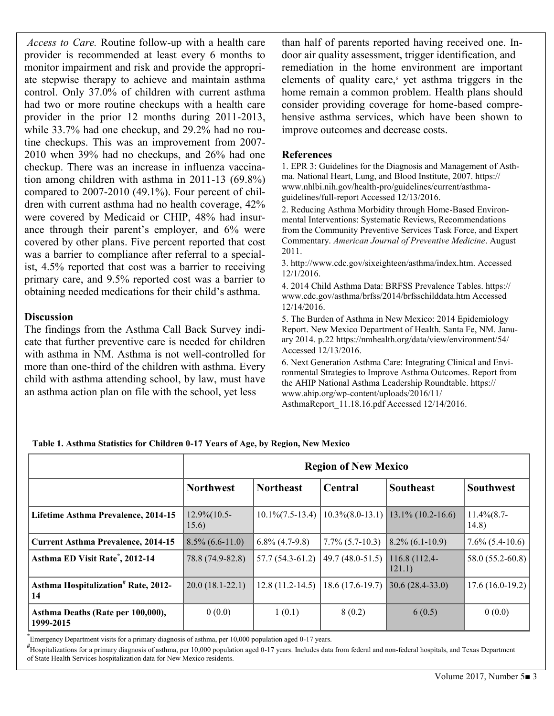*Access to Care.* Routine follow-up with a health care provider is recommended at least every 6 months to monitor impairment and risk and provide the appropriate stepwise therapy to achieve and maintain asthma control. Only 37.0% of children with current asthma had two or more routine checkups with a health care provider in the prior 12 months during 2011-2013, while 33.7% had one checkup, and 29.2% had no routine checkups. This was an improvement from 2007- 2010 when 39% had no checkups, and 26% had one checkup. There was an increase in influenza vaccination among children with asthma in 2011-13 (69.8%) compared to 2007-2010 (49.1%). Four percent of children with current asthma had no health coverage, 42% were covered by Medicaid or CHIP, 48% had insurance through their parent's employer, and 6% were covered by other plans. Five percent reported that cost was a barrier to compliance after referral to a specialist, 4.5% reported that cost was a barrier to receiving primary care, and 9.5% reported cost was a barrier to obtaining needed medications for their child's asthma.

#### **Discussion**

The findings from the Asthma Call Back Survey indicate that further preventive care is needed for children with asthma in NM. Asthma is not well-controlled for more than one-third of the children with asthma. Every child with asthma attending school, by law, must have an asthma action plan on file with the school, yet less

than half of parents reported having received one. Indoor air quality assessment, trigger identification, and remediation in the home environment are important elements of quality care,<sup>6</sup> yet asthma triggers in the home remain a common problem. Health plans should consider providing coverage for home-based comprehensive asthma services, which have been shown to improve outcomes and decrease costs.

#### **References**

1. EPR 3: Guidelines for the Diagnosis and Management of Asthma. National Heart, Lung, and Blood Institute, 2007. https:// www.nhlbi.nih.gov/health-pro/guidelines/current/asthmaguidelines/full-report Accessed 12/13/2016.

2. Reducing Asthma Morbidity through Home-Based Environmental Interventions: Systematic Reviews, Recommendations from the Community Preventive Services Task Force, and Expert Commentary. *American Journal of Preventive Medicine*. August 2011.

3. http://www.cdc.gov/sixeighteen/asthma/index.htm. Accessed 12/1/2016.

4. 2014 Child Asthma Data: BRFSS Prevalence Tables. https:// www.cdc.gov/asthma/brfss/2014/brfsschilddata.htm Accessed 12/14/2016.

5. The Burden of Asthma in New Mexico: 2014 Epidemiology Report. New Mexico Department of Health. Santa Fe, NM. January 2014. p.22 https://nmhealth.org/data/view/environment/54/ Accessed 12/13/2016.

6. Next Generation Asthma Care: Integrating Clinical and Environmental Strategies to Improve Asthma Outcomes. Report from the AHIP National Asthma Leadership Roundtable. https:// www.ahip.org/wp-content/uploads/2016/11/

AsthmaReport\_11.18.16.pdf Accessed 12/14/2016.

|                                                       | <b>Region of New Mexico</b>   |                       |                    |                                       |                           |
|-------------------------------------------------------|-------------------------------|-----------------------|--------------------|---------------------------------------|---------------------------|
|                                                       | <b>Northwest</b>              | <b>Northeast</b>      | Central            | <b>Southeast</b>                      | <b>Southwest</b>          |
| Lifetime Asthma Prevalence, 2014-15                   | $12.9\frac{6}{10.5}$<br>15.6) | $10.1\%$ $(7.5-13.4)$ |                    | $10.3\%(8.0-13.1)$ 13.1\% (10.2-16.6) | $11.4\%$ $(8.7-$<br>14.8) |
| <b>Current Asthma Prevalence, 2014-15</b>             | $8.5\%$ (6.6-11.0)            | $6.8\%$ (4.7-9.8)     | $7.7\%$ (5.7-10.3) | $8.2\%$ (6.1-10.9)                    | $7.6\%$ (5.4-10.6)        |
| Asthma ED Visit Rate <sup>*</sup> , 2012-14           | 78.8 (74.9-82.8)              | $57.7(54.3-61.2)$     | $49.7(48.0-51.5)$  | 116.8 (112.4-<br>121.1)               | 58.0 (55.2-60.8)          |
| Asthma Hospitalization <sup>#</sup> Rate, 2012-<br>14 | $20.0(18.1-22.1)$             | $12.8(11.2-14.5)$     | $18.6(17.6-19.7)$  | $30.6(28.4-33.0)$                     | $17.6(16.0-19.2)$         |
| Asthma Deaths (Rate per 100,000),<br>1999-2015        | 0(0.0)                        | 1(0.1)                | 8(0.2)             | 6(0.5)                                | 0(0.0)                    |

**Table 1. Asthma Statistics for Children 0-17 Years of Age, by Region, New Mexico**

**\*** Emergency Department visits for a primary diagnosis of asthma, per 10,000 population aged 0-17 years.

**#** Hospitalizations for a primary diagnosis of asthma, per 10,000 population aged 0-17 years. Includes data from federal and non-federal hospitals, and Texas Department of State Health Services hospitalization data for New Mexico residents.